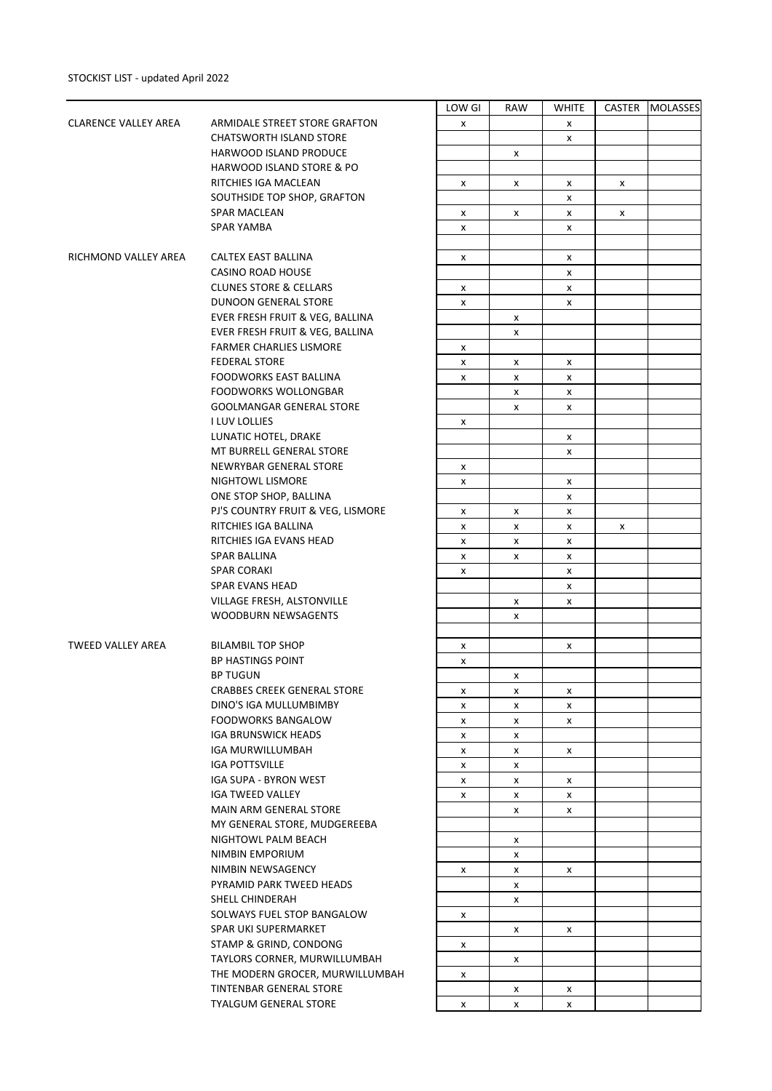|                             |                                    | LOW GI | RAW | <b>WHITE</b> | CASTER | <b>MOLASSES</b> |
|-----------------------------|------------------------------------|--------|-----|--------------|--------|-----------------|
| <b>CLARENCE VALLEY AREA</b> | ARMIDALE STREET STORE GRAFTON      | x      |     | x            |        |                 |
|                             | <b>CHATSWORTH ISLAND STORE</b>     |        |     | X            |        |                 |
|                             | HARWOOD ISLAND PRODUCE             |        | X   |              |        |                 |
|                             |                                    |        |     |              |        |                 |
|                             | HARWOOD ISLAND STORE & PO          |        |     |              |        |                 |
|                             | RITCHIES IGA MACLEAN               | X      | X   | x            | X      |                 |
|                             | SOUTHSIDE TOP SHOP, GRAFTON        |        |     | X            |        |                 |
|                             | SPAR MACLEAN                       | X      | x   | X            | x      |                 |
|                             | <b>SPAR YAMBA</b>                  | X      |     | X            |        |                 |
|                             |                                    |        |     |              |        |                 |
| RICHMOND VALLEY AREA        | CALTEX EAST BALLINA                | X      |     | x            |        |                 |
|                             | CASINO ROAD HOUSE                  |        |     | X            |        |                 |
|                             | <b>CLUNES STORE &amp; CELLARS</b>  | x      |     | X            |        |                 |
|                             | <b>DUNOON GENERAL STORE</b>        | X      |     | x            |        |                 |
|                             | EVER FRESH FRUIT & VEG, BALLINA    |        | X   |              |        |                 |
|                             | EVER FRESH FRUIT & VEG, BALLINA    |        | X   |              |        |                 |
|                             | <b>FARMER CHARLIES LISMORE</b>     |        |     |              |        |                 |
|                             |                                    | X      |     |              |        |                 |
|                             | <b>FEDERAL STORE</b>               | x      | x   | x            |        |                 |
|                             | FOODWORKS EAST BALLINA             | X      | X   | X            |        |                 |
|                             | <b>FOODWORKS WOLLONGBAR</b>        |        | X   | X            |        |                 |
|                             | <b>GOOLMANGAR GENERAL STORE</b>    |        | x   | x            |        |                 |
|                             | I LUV LOLLIES                      | X      |     |              |        |                 |
|                             | LUNATIC HOTEL, DRAKE               |        |     | X            |        |                 |
|                             | MT BURRELL GENERAL STORE           |        |     | X            |        |                 |
|                             | NEWRYBAR GENERAL STORE             | x      |     |              |        |                 |
|                             | NIGHTOWL LISMORE                   | X      |     | x            |        |                 |
|                             | ONE STOP SHOP, BALLINA             |        |     | X            |        |                 |
|                             | PJ'S COUNTRY FRUIT & VEG, LISMORE  | x      | x   | X            |        |                 |
|                             | RITCHIES IGA BALLINA               | x      | x   | X            | x      |                 |
|                             | RITCHIES IGA EVANS HEAD            | X      | x   | X            |        |                 |
|                             |                                    |        |     |              |        |                 |
|                             | SPAR BALLINA                       | X      | x   | X            |        |                 |
|                             | <b>SPAR CORAKI</b>                 | X      |     | х            |        |                 |
|                             | <b>SPAR EVANS HEAD</b>             |        |     | X            |        |                 |
|                             | VILLAGE FRESH, ALSTONVILLE         |        | X   | X            |        |                 |
|                             | <b>WOODBURN NEWSAGENTS</b>         |        | x   |              |        |                 |
|                             |                                    |        |     |              |        |                 |
| TWEED VALLEY AREA           | <b>BILAMBIL TOP SHOP</b>           | x      |     | x            |        |                 |
|                             | <b>BP HASTINGS POINT</b>           | X      |     |              |        |                 |
|                             | <b>BP TUGUN</b>                    |        | x   |              |        |                 |
|                             | <b>CRABBES CREEK GENERAL STORE</b> | х      | x   | x            |        |                 |
|                             | DINO'S IGA MULLUMBIMBY             | X      | x   | X            |        |                 |
|                             | <b>FOODWORKS BANGALOW</b>          | x      | X   | X            |        |                 |
|                             | <b>IGA BRUNSWICK HEADS</b>         | x      | x   |              |        |                 |
|                             | IGA MURWILLUMBAH                   | x      | X   | X            |        |                 |
|                             | <b>IGA POTTSVILLE</b>              | X      | X   |              |        |                 |
|                             | IGA SUPA - BYRON WEST              | X      | X   | X            |        |                 |
|                             | <b>IGA TWEED VALLEY</b>            |        |     |              |        |                 |
|                             |                                    | x      | X   | X            |        |                 |
|                             | MAIN ARM GENERAL STORE             |        | x   | X            |        |                 |
|                             | MY GENERAL STORE, MUDGEREEBA       |        |     |              |        |                 |
|                             | NIGHTOWL PALM BEACH                |        | X   |              |        |                 |
|                             | NIMBIN EMPORIUM                    |        | x   |              |        |                 |
|                             | NIMBIN NEWSAGENCY                  | X      | x   | X            |        |                 |
|                             | PYRAMID PARK TWEED HEADS           |        | x   |              |        |                 |
|                             | SHELL CHINDERAH                    |        | X   |              |        |                 |
|                             | SOLWAYS FUEL STOP BANGALOW         | x      |     |              |        |                 |
|                             | SPAR UKI SUPERMARKET               |        | x   | x            |        |                 |
|                             | STAMP & GRIND, CONDONG             | x      |     |              |        |                 |
|                             | TAYLORS CORNER, MURWILLUMBAH       |        | X   |              |        |                 |
|                             | THE MODERN GROCER, MURWILLUMBAH    | x      |     |              |        |                 |
|                             | TINTENBAR GENERAL STORE            |        | x   | х            |        |                 |
|                             | <b>TYALGUM GENERAL STORE</b>       |        |     |              |        |                 |
|                             |                                    | x      | X   | X            |        |                 |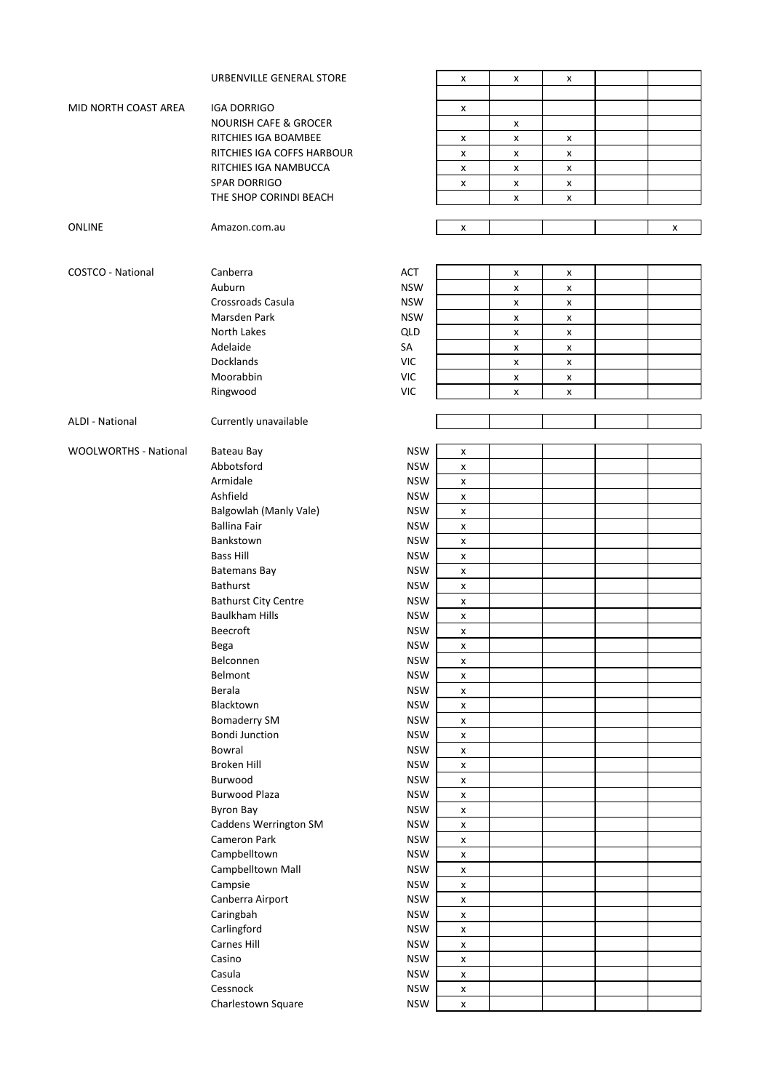|                              | URBENVILLE GENERAL STORE                                 |                          | X                       | X | X      |   |
|------------------------------|----------------------------------------------------------|--------------------------|-------------------------|---|--------|---|
| MID NORTH COAST AREA         |                                                          |                          |                         |   |        |   |
|                              | <b>IGA DORRIGO</b>                                       |                          | x                       |   |        |   |
|                              | <b>NOURISH CAFE &amp; GROCER</b><br>RITCHIES IGA BOAMBEE |                          |                         | X |        |   |
|                              | RITCHIES IGA COFFS HARBOUR                               |                          | X                       | X | X<br>X |   |
|                              | RITCHIES IGA NAMBUCCA                                    |                          | X                       | X |        |   |
|                              | <b>SPAR DORRIGO</b>                                      |                          | X                       | X | X      |   |
|                              | THE SHOP CORINDI BEACH                                   |                          | X                       | X | X      |   |
|                              |                                                          |                          |                         | X | X      |   |
| ONLINE                       | Amazon.com.au                                            |                          | X                       |   |        | x |
|                              |                                                          |                          |                         |   |        |   |
|                              |                                                          |                          |                         |   |        |   |
| <b>COSTCO - National</b>     | Canberra                                                 | <b>ACT</b>               |                         | X | X      |   |
|                              | Auburn                                                   | <b>NSW</b>               |                         | х | X      |   |
|                              | Crossroads Casula                                        | <b>NSW</b>               |                         | X | X      |   |
|                              | Marsden Park                                             | <b>NSW</b>               |                         | X | X      |   |
|                              | North Lakes                                              | QLD                      |                         | X | X      |   |
|                              | Adelaide                                                 | SA                       |                         | X | X      |   |
|                              | Docklands                                                | <b>VIC</b>               |                         | X | X      |   |
|                              | Moorabbin                                                | <b>VIC</b>               |                         | X | X      |   |
|                              | Ringwood                                                 | <b>VIC</b>               |                         | X | X      |   |
|                              |                                                          |                          |                         |   |        |   |
| <b>ALDI - National</b>       | Currently unavailable                                    |                          |                         |   |        |   |
|                              |                                                          |                          |                         |   |        |   |
| <b>WOOLWORTHS - National</b> | Bateau Bay                                               | <b>NSW</b>               | X                       |   |        |   |
|                              | Abbotsford                                               | <b>NSW</b>               | X                       |   |        |   |
|                              | Armidale                                                 | <b>NSW</b>               | x                       |   |        |   |
|                              | Ashfield                                                 | <b>NSW</b>               | X                       |   |        |   |
|                              | Balgowlah (Manly Vale)                                   | <b>NSW</b>               | X                       |   |        |   |
|                              | <b>Ballina Fair</b>                                      | <b>NSW</b>               | $\pmb{\mathsf{x}}$      |   |        |   |
|                              | Bankstown                                                | <b>NSW</b>               | X                       |   |        |   |
|                              | <b>Bass Hill</b>                                         | <b>NSW</b>               | X                       |   |        |   |
|                              | <b>Batemans Bay</b>                                      | <b>NSW</b>               | X                       |   |        |   |
|                              | Bathurst                                                 | <b>NSW</b>               | X                       |   |        |   |
|                              | <b>Bathurst City Centre</b>                              | <b>NSW</b>               | X                       |   |        |   |
|                              | <b>Baulkham Hills</b>                                    | <b>NSW</b>               | X                       |   |        |   |
|                              | Beecroft                                                 | <b>NSW</b>               | X                       |   |        |   |
|                              | Bega                                                     | <b>NSW</b>               | X                       |   |        |   |
|                              | Belconnen                                                | <b>NSW</b>               | X                       |   |        |   |
|                              | Belmont                                                  | <b>NSW</b>               | $\pmb{\times}$          |   |        |   |
|                              | Berala                                                   | <b>NSW</b>               | $\pmb{\mathsf{x}}$      |   |        |   |
|                              | Blacktown                                                | <b>NSW</b>               | $\pmb{\mathsf{x}}$      |   |        |   |
|                              | <b>Bomaderry SM</b>                                      | <b>NSW</b>               | $\pmb{\mathsf{X}}$      |   |        |   |
|                              | <b>Bondi Junction</b>                                    | <b>NSW</b>               | $\pmb{\mathsf{x}}$      |   |        |   |
|                              | Bowral                                                   | <b>NSW</b>               | X                       |   |        |   |
|                              | Broken Hill                                              | <b>NSW</b>               | X                       |   |        |   |
|                              | Burwood<br><b>Burwood Plaza</b>                          | <b>NSW</b>               | $\pmb{\mathsf{x}}$      |   |        |   |
|                              |                                                          | <b>NSW</b>               | X                       |   |        |   |
|                              | <b>Byron Bay</b><br>Caddens Werrington SM                | <b>NSW</b><br><b>NSW</b> | $\pmb{\mathsf{x}}$      |   |        |   |
|                              | Cameron Park                                             | <b>NSW</b>               | X                       |   |        |   |
|                              | Campbelltown                                             | <b>NSW</b>               | $\pmb{\mathsf{X}}$      |   |        |   |
|                              |                                                          |                          | X                       |   |        |   |
|                              | Campbelltown Mall<br>Campsie                             | <b>NSW</b><br><b>NSW</b> | X<br>$\pmb{\mathsf{x}}$ |   |        |   |
|                              | Canberra Airport                                         | <b>NSW</b>               | $\pmb{\mathsf{x}}$      |   |        |   |
|                              | Caringbah                                                | <b>NSW</b>               | $\pmb{\mathsf{X}}$      |   |        |   |
|                              | Carlingford                                              | <b>NSW</b>               | $\pmb{\mathsf{x}}$      |   |        |   |
|                              | Carnes Hill                                              | <b>NSW</b>               | X                       |   |        |   |
|                              | Casino                                                   | <b>NSW</b>               | $\pmb{\mathsf{x}}$      |   |        |   |
|                              | Casula                                                   | <b>NSW</b>               | $\pmb{\mathsf{x}}$      |   |        |   |
|                              | Cessnock                                                 | <b>NSW</b>               | X                       |   |        |   |
|                              | Charlestown Square                                       | <b>NSW</b>               | X                       |   |        |   |
|                              |                                                          |                          |                         |   |        |   |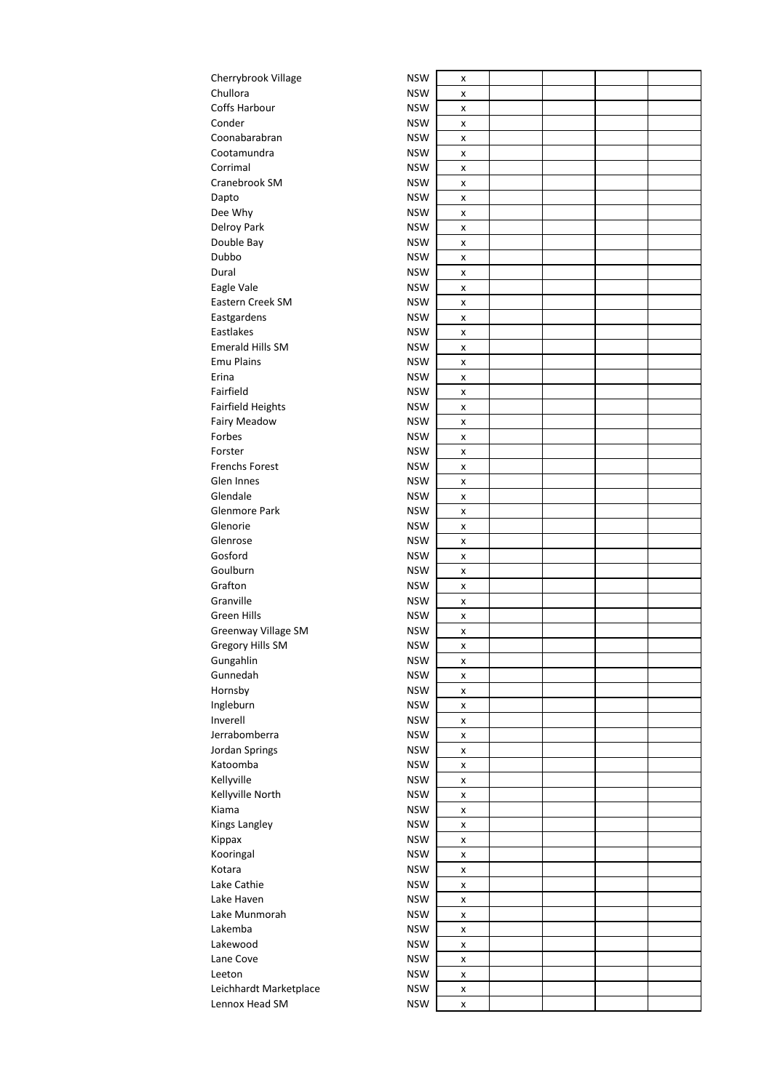| Cherrybrook Village     | <b>NSW</b>               | x      |  |  |
|-------------------------|--------------------------|--------|--|--|
| Chullora                | <b>NSW</b>               | x      |  |  |
| Coffs Harbour           | <b>NSW</b>               | x      |  |  |
| Conder                  | <b>NSW</b>               | x      |  |  |
| Coonabarabran           | <b>NSW</b>               | x      |  |  |
| Cootamundra             | <b>NSW</b>               | x      |  |  |
| Corrimal                | <b>NSW</b>               | x      |  |  |
| Cranebrook SM           | <b>NSW</b>               | x      |  |  |
| Dapto                   | <b>NSW</b>               | x      |  |  |
| Dee Why                 | <b>NSW</b>               | x      |  |  |
| Delroy Park             | <b>NSW</b>               | x      |  |  |
| Double Bay              | <b>NSW</b>               | x      |  |  |
| Dubbo                   | <b>NSW</b>               | x      |  |  |
| Dural                   | <b>NSW</b>               | x      |  |  |
| Eagle Vale              | <b>NSW</b>               | x      |  |  |
| Eastern Creek SM        | <b>NSW</b>               | x      |  |  |
| Eastgardens             | <b>NSW</b>               | x      |  |  |
| Eastlakes               | <b>NSW</b>               | x      |  |  |
| <b>Emerald Hills SM</b> | <b>NSW</b>               | x      |  |  |
| <b>Emu Plains</b>       | <b>NSW</b>               | x      |  |  |
| Erina                   | <b>NSW</b>               | x      |  |  |
| Fairfield               | <b>NSW</b>               | x      |  |  |
| Fairfield Heights       | <b>NSW</b>               |        |  |  |
| <b>Fairy Meadow</b>     | <b>NSW</b>               | x      |  |  |
| Forbes                  | <b>NSW</b>               | x<br>x |  |  |
| Forster                 | <b>NSW</b>               |        |  |  |
| <b>Frenchs Forest</b>   | <b>NSW</b>               | x      |  |  |
| Glen Innes              | <b>NSW</b>               | x      |  |  |
| Glendale                | <b>NSW</b>               | x      |  |  |
| Glenmore Park           | <b>NSW</b>               | x      |  |  |
| Glenorie                | <b>NSW</b>               | x      |  |  |
| Glenrose                | <b>NSW</b>               | x      |  |  |
| Gosford                 | <b>NSW</b>               | x      |  |  |
| Goulburn                | <b>NSW</b>               | x      |  |  |
| Grafton                 | <b>NSW</b>               | x      |  |  |
| Granville               | <b>NSW</b>               | x      |  |  |
| Green Hills             | <b>NSW</b>               | x      |  |  |
|                         |                          | x      |  |  |
| Greenway Village SM     | <b>NSW</b><br><b>NSW</b> | X      |  |  |
| Gregory Hills SM        |                          | x      |  |  |
| Gungahlin               | <b>NSW</b>               | x      |  |  |
| Gunnedah                | <b>NSW</b>               | X      |  |  |
| Hornsby                 | <b>NSW</b>               | x      |  |  |
| Ingleburn               | <b>NSW</b>               | x      |  |  |
| Inverell                | <b>NSW</b>               | x      |  |  |
| Jerrabomberra           | <b>NSW</b>               | x      |  |  |
| Jordan Springs          | <b>NSW</b>               | x      |  |  |
| Katoomba                | <b>NSW</b>               | x      |  |  |
| Kellyville              | <b>NSW</b>               | x      |  |  |
| Kellyville North        | <b>NSW</b>               | x      |  |  |
| Kiama                   | <b>NSW</b>               | x      |  |  |
| Kings Langley           | <b>NSW</b>               | x      |  |  |
| Kippax                  | <b>NSW</b>               | x      |  |  |
| Kooringal               | <b>NSW</b>               | x      |  |  |
| Kotara                  | <b>NSW</b>               | x      |  |  |
| Lake Cathie             | <b>NSW</b>               | x      |  |  |
| Lake Haven              | <b>NSW</b>               | x      |  |  |
| Lake Munmorah           | <b>NSW</b>               | x      |  |  |
| Lakemba                 | <b>NSW</b>               | x      |  |  |
| Lakewood                | <b>NSW</b>               | x      |  |  |
| Lane Cove               | <b>NSW</b>               | x      |  |  |
| Leeton                  | <b>NSW</b>               | x      |  |  |
| Leichhardt Marketplace  | <b>NSW</b>               | x      |  |  |
| Lennox Head SM          | <b>NSW</b>               | x      |  |  |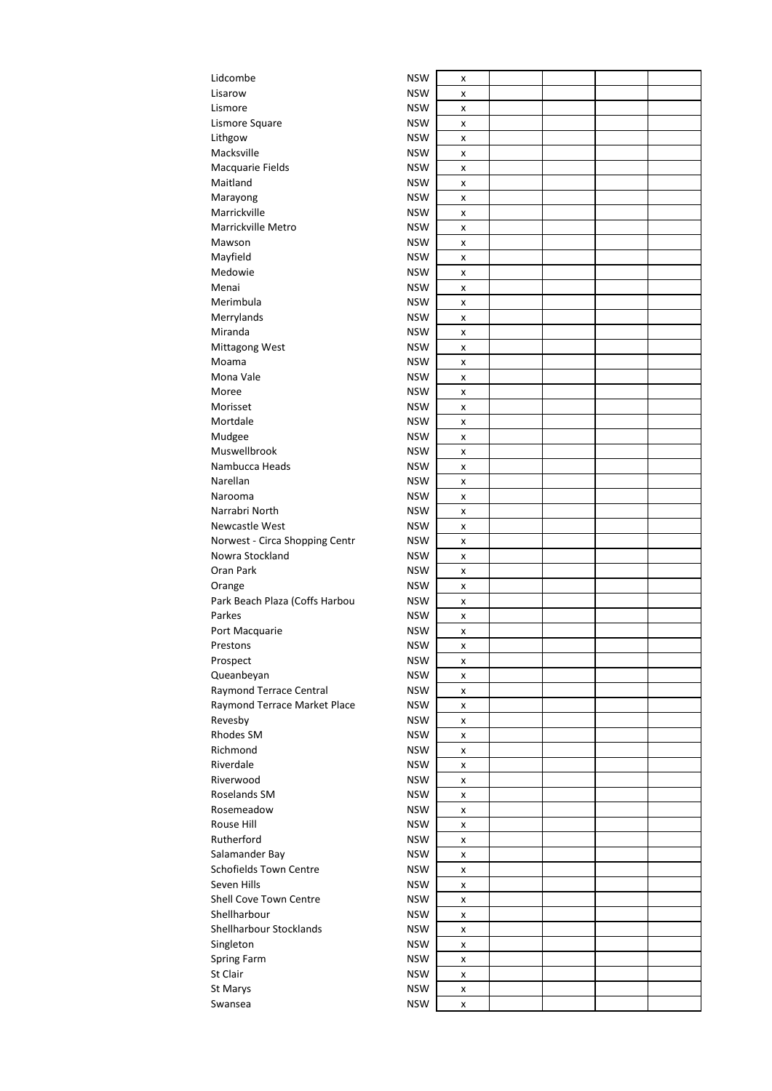| Lidcombe                       | <b>NSW</b> | x      |  |  |
|--------------------------------|------------|--------|--|--|
| Lisarow                        | <b>NSW</b> | x      |  |  |
| Lismore                        | <b>NSW</b> | x      |  |  |
| Lismore Square                 | <b>NSW</b> | x      |  |  |
| Lithgow                        | <b>NSW</b> | x      |  |  |
| Macksville                     | <b>NSW</b> | x      |  |  |
| Macquarie Fields               | <b>NSW</b> | x      |  |  |
| Maitland                       | <b>NSW</b> | x      |  |  |
| Marayong                       | <b>NSW</b> | x      |  |  |
| Marrickville                   | <b>NSW</b> | x      |  |  |
| Marrickville Metro             | <b>NSW</b> | x      |  |  |
| Mawson                         | <b>NSW</b> | x      |  |  |
| Mayfield                       | <b>NSW</b> | x      |  |  |
| Medowie                        | <b>NSW</b> | x      |  |  |
| Menai                          | <b>NSW</b> | x      |  |  |
| Merimbula                      | <b>NSW</b> | x      |  |  |
| Merrylands                     | <b>NSW</b> | X      |  |  |
| Miranda                        | <b>NSW</b> | x      |  |  |
| Mittagong West                 | <b>NSW</b> | x      |  |  |
| Moama                          | <b>NSW</b> | x      |  |  |
| Mona Vale                      | <b>NSW</b> | x      |  |  |
| Moree                          | <b>NSW</b> | x      |  |  |
| Morisset                       | <b>NSW</b> | x      |  |  |
| Mortdale                       | <b>NSW</b> | x      |  |  |
| Mudgee                         | <b>NSW</b> | x      |  |  |
| Muswellbrook                   | <b>NSW</b> | x      |  |  |
| Nambucca Heads                 | <b>NSW</b> | x      |  |  |
| Narellan                       | <b>NSW</b> | x      |  |  |
| Narooma                        | <b>NSW</b> | x      |  |  |
| Narrabri North                 | <b>NSW</b> | x      |  |  |
| Newcastle West                 | <b>NSW</b> | x      |  |  |
| Norwest - Circa Shopping Centr | <b>NSW</b> | x      |  |  |
| Nowra Stockland                | <b>NSW</b> | x      |  |  |
| Oran Park                      | <b>NSW</b> | x      |  |  |
| Orange                         | <b>NSW</b> | x      |  |  |
| Park Beach Plaza (Coffs Harbou | <b>NSW</b> | x      |  |  |
| Parkes                         | <b>NSW</b> | x      |  |  |
| Port Macquarie                 | <b>NSW</b> | x      |  |  |
| Prestons                       | <b>NSW</b> | x      |  |  |
| Prospect                       | <b>NSW</b> | x      |  |  |
| Queanbeyan                     | <b>NSW</b> | x      |  |  |
| Raymond Terrace Central        | <b>NSW</b> | X      |  |  |
| Raymond Terrace Market Place   | <b>NSW</b> | X      |  |  |
| Revesby                        | <b>NSW</b> | x      |  |  |
| Rhodes SM                      | <b>NSW</b> | X      |  |  |
| Richmond                       | <b>NSW</b> | x      |  |  |
| Riverdale                      | <b>NSW</b> | x      |  |  |
| Riverwood                      | <b>NSW</b> | x      |  |  |
| Roselands SM                   | <b>NSW</b> | X      |  |  |
| Rosemeadow                     | <b>NSW</b> | x      |  |  |
| Rouse Hill                     | <b>NSW</b> | x      |  |  |
| Rutherford                     | <b>NSW</b> | x      |  |  |
| Salamander Bay                 | <b>NSW</b> | x      |  |  |
| <b>Schofields Town Centre</b>  | <b>NSW</b> |        |  |  |
| Seven Hills                    | <b>NSW</b> | x<br>X |  |  |
| Shell Cove Town Centre         | <b>NSW</b> |        |  |  |
| Shellharbour                   | <b>NSW</b> | x<br>X |  |  |
| Shellharbour Stocklands        | <b>NSW</b> | x      |  |  |
| Singleton                      | <b>NSW</b> |        |  |  |
|                                | <b>NSW</b> | x      |  |  |
| Spring Farm<br>St Clair        | <b>NSW</b> | x      |  |  |
|                                | <b>NSW</b> | x      |  |  |
| St Marys                       |            | x      |  |  |
| Swansea                        | <b>NSW</b> | x      |  |  |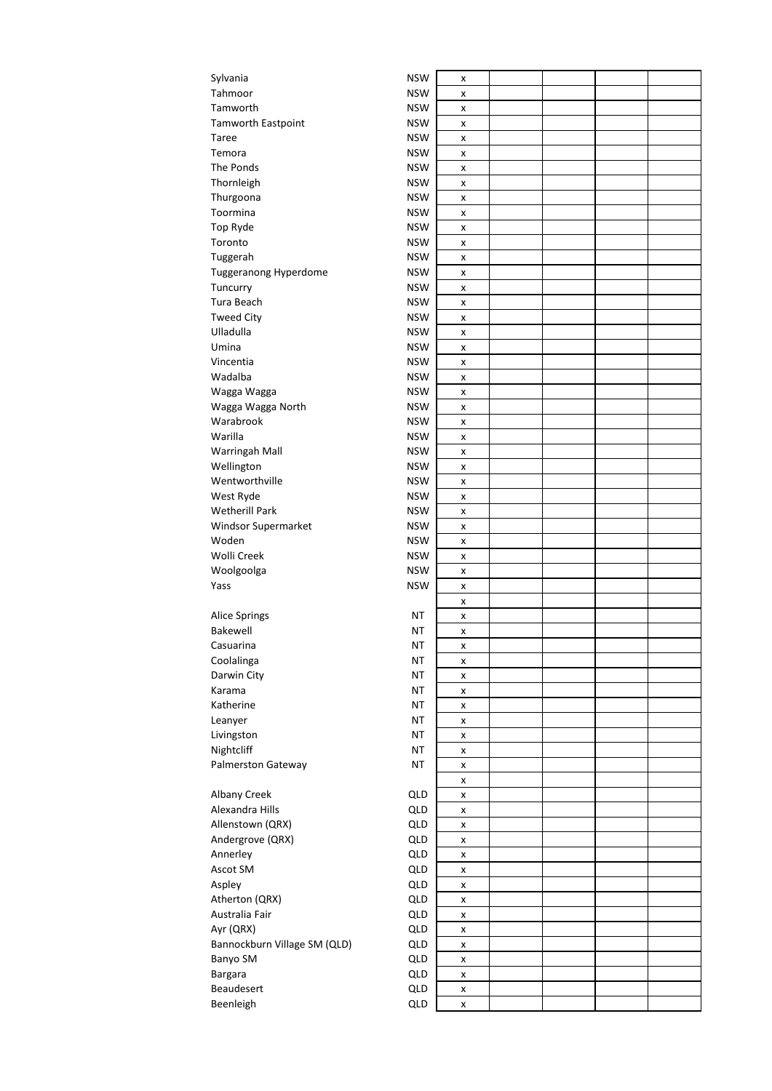| Sylvania                     | <b>NSW</b> | x |  |  |
|------------------------------|------------|---|--|--|
| Tahmoor                      | <b>NSW</b> | x |  |  |
| Tamworth                     | <b>NSW</b> | x |  |  |
| <b>Tamworth Eastpoint</b>    | <b>NSW</b> | x |  |  |
| Taree                        | <b>NSW</b> | x |  |  |
| Temora                       | <b>NSW</b> | x |  |  |
| The Ponds                    | <b>NSW</b> | x |  |  |
| Thornleigh                   | <b>NSW</b> | x |  |  |
| Thurgoona                    | <b>NSW</b> | X |  |  |
| Toormina                     | <b>NSW</b> | x |  |  |
| Top Ryde                     | <b>NSW</b> | x |  |  |
| Toronto                      | <b>NSW</b> | x |  |  |
| Tuggerah                     | <b>NSW</b> | x |  |  |
| Tuggeranong Hyperdome        | <b>NSW</b> | x |  |  |
| Tuncurry                     | <b>NSW</b> | x |  |  |
| Tura Beach                   | <b>NSW</b> | x |  |  |
| <b>Tweed City</b>            | <b>NSW</b> | x |  |  |
| Ulladulla                    | <b>NSW</b> |   |  |  |
| Umina                        | <b>NSW</b> | x |  |  |
|                              |            | x |  |  |
| Vincentia                    | <b>NSW</b> | x |  |  |
| Wadalba                      | <b>NSW</b> | x |  |  |
| Wagga Wagga                  | <b>NSW</b> | x |  |  |
| Wagga Wagga North            | <b>NSW</b> | x |  |  |
| Warabrook                    | <b>NSW</b> | x |  |  |
| Warilla                      | <b>NSW</b> | x |  |  |
| Warringah Mall               | <b>NSW</b> | x |  |  |
| Wellington                   | <b>NSW</b> | x |  |  |
| Wentworthville               | <b>NSW</b> | x |  |  |
| West Ryde                    | <b>NSW</b> | x |  |  |
| <b>Wetherill Park</b>        | <b>NSW</b> | x |  |  |
| Windsor Supermarket          | <b>NSW</b> | x |  |  |
| Woden                        | <b>NSW</b> | X |  |  |
| Wolli Creek                  | <b>NSW</b> | X |  |  |
| Woolgoolga                   | <b>NSW</b> | x |  |  |
| Yass                         | <b>NSW</b> | x |  |  |
|                              |            | x |  |  |
| Alice Springs                | ΝT         | x |  |  |
| Bakewell                     | NT         | x |  |  |
| Casuarina                    | NT         | x |  |  |
| Coolalinga                   | <b>NT</b>  | x |  |  |
| Darwin City                  | <b>NT</b>  | x |  |  |
| Karama                       | ΝT         | x |  |  |
| Katherine                    | ΝT         | X |  |  |
| Leanyer                      | <b>NT</b>  | x |  |  |
| Livingston                   | ΝT         | x |  |  |
| Nightcliff                   | <b>NT</b>  | x |  |  |
| Palmerston Gateway           | <b>NT</b>  | X |  |  |
|                              |            | x |  |  |
| Albany Creek                 | QLD        | x |  |  |
| Alexandra Hills              | QLD        | X |  |  |
| Allenstown (QRX)             | QLD        | x |  |  |
| Andergrove (QRX)             | QLD        | x |  |  |
| Annerley                     | QLD        | X |  |  |
| Ascot SM                     | QLD        | x |  |  |
| Aspley                       | QLD        | x |  |  |
| Atherton (QRX)               | QLD        | X |  |  |
| Australia Fair               | QLD        | X |  |  |
| Ayr (QRX)                    | QLD        | X |  |  |
| Bannockburn Village SM (QLD) | QLD        | x |  |  |
| Banyo SM                     | QLD        | X |  |  |
| Bargara                      | QLD        | x |  |  |
| Beaudesert                   | QLD        | x |  |  |
| Beenleigh                    | QLD        | X |  |  |
|                              |            |   |  |  |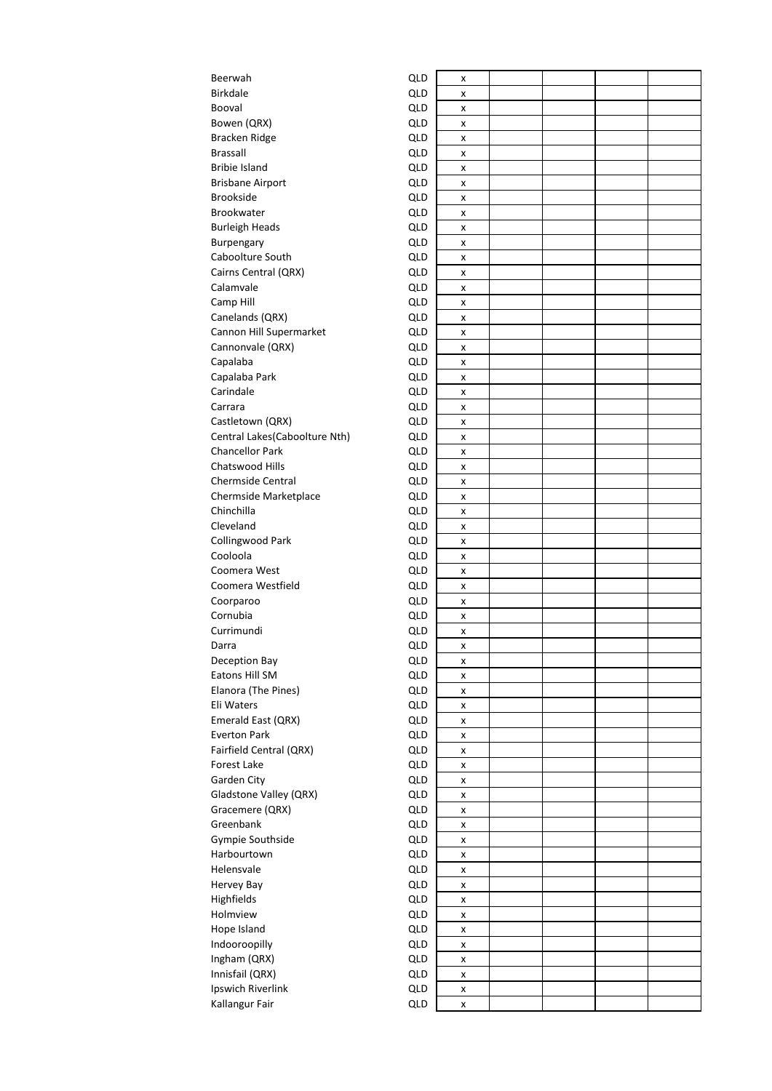| Beerwah                       | QLD | x |  |  |
|-------------------------------|-----|---|--|--|
| <b>Birkdale</b>               | QLD | x |  |  |
| Booval                        | QLD | x |  |  |
| Bowen (QRX)                   | QLD | x |  |  |
| Bracken Ridge                 | QLD | x |  |  |
| <b>Brassall</b>               | QLD | x |  |  |
| <b>Bribie Island</b>          | QLD | x |  |  |
| <b>Brisbane Airport</b>       | QLD | x |  |  |
| <b>Brookside</b>              | QLD | x |  |  |
| <b>Brookwater</b>             | QLD | x |  |  |
| <b>Burleigh Heads</b>         | QLD | x |  |  |
| Burpengary                    | QLD | x |  |  |
| Caboolture South              | QLD | x |  |  |
| Cairns Central (QRX)          | QLD | x |  |  |
| Calamvale                     | QLD | x |  |  |
| Camp Hill                     | QLD | x |  |  |
| Canelands (QRX)               | QLD | x |  |  |
| Cannon Hill Supermarket       | QLD | x |  |  |
| Cannonvale (QRX)              | QLD |   |  |  |
|                               | QLD | x |  |  |
| Capalaba                      | QLD | x |  |  |
| Capalaba Park<br>Carindale    |     | x |  |  |
|                               | QLD | x |  |  |
| Carrara                       | QLD | x |  |  |
| Castletown (QRX)              | QLD | x |  |  |
| Central Lakes(Caboolture Nth) | QLD | x |  |  |
| <b>Chancellor Park</b>        | QLD | x |  |  |
| Chatswood Hills               | QLD | x |  |  |
| Chermside Central             | QLD | x |  |  |
| Chermside Marketplace         | QLD | x |  |  |
| Chinchilla                    | QLD | x |  |  |
| Cleveland                     | QLD | x |  |  |
| Collingwood Park              | QLD | x |  |  |
| Cooloola                      | QLD | x |  |  |
| Coomera West                  | QLD | x |  |  |
| Coomera Westfield             | QLD | x |  |  |
| Coorparoo                     | QLD | x |  |  |
| Cornubia                      | QLD | x |  |  |
| Currimundi                    | QLD | x |  |  |
| Darra                         | QLD | x |  |  |
| Deception Bay                 | QLD | x |  |  |
| Eatons Hill SM                | QLD | x |  |  |
| Elanora (The Pines)           | QLD | X |  |  |
| Eli Waters                    | QLD | x |  |  |
| Emerald East (QRX)            | QLD | x |  |  |
| <b>Everton Park</b>           | QLD | x |  |  |
| Fairfield Central (QRX)       | QLD | x |  |  |
| Forest Lake                   | QLD | x |  |  |
| Garden City                   | QLD | x |  |  |
| Gladstone Valley (QRX)        | QLD | x |  |  |
| Gracemere (QRX)               | QLD | x |  |  |
| Greenbank                     | QLD | x |  |  |
| Gympie Southside              | QLD | x |  |  |
| Harbourtown                   | QLD | x |  |  |
| Helensvale                    | QLD | x |  |  |
| Hervey Bay                    | QLD | X |  |  |
| Highfields                    | QLD | x |  |  |
| Holmview                      | QLD | x |  |  |
| Hope Island                   | QLD | x |  |  |
| Indooroopilly                 | QLD | x |  |  |
| Ingham (QRX)                  | QLD | x |  |  |
| Innisfail (QRX)               | QLD | x |  |  |
| Ipswich Riverlink             | QLD | x |  |  |
| Kallangur Fair                | QLD | x |  |  |
|                               |     |   |  |  |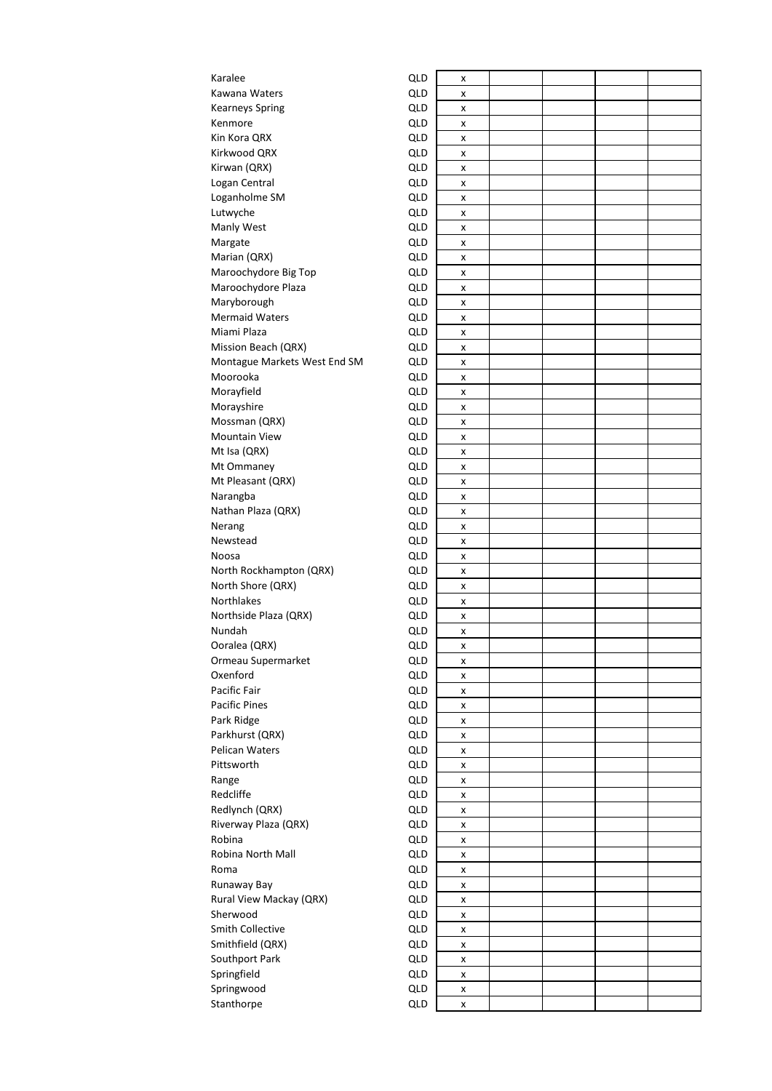| Karalee                             | QLD        | X      |  |  |
|-------------------------------------|------------|--------|--|--|
| Kawana Waters                       | QLD        | x      |  |  |
| <b>Kearneys Spring</b>              | QLD        | x      |  |  |
| Kenmore                             | QLD        | x      |  |  |
| Kin Kora QRX                        | QLD        | x      |  |  |
| Kirkwood QRX                        | QLD        | x      |  |  |
| Kirwan (QRX)                        | QLD        | x      |  |  |
| Logan Central                       | QLD        | x      |  |  |
| Loganholme SM                       | QLD        | x      |  |  |
| Lutwyche                            | QLD        | x      |  |  |
| Manly West                          | QLD        | x      |  |  |
| Margate                             | QLD        | x      |  |  |
| Marian (QRX)                        | QLD        | x      |  |  |
| Maroochydore Big Top                | QLD        | x      |  |  |
| Maroochydore Plaza                  | QLD        | x      |  |  |
| Maryborough                         | QLD        | x      |  |  |
| <b>Mermaid Waters</b>               | QLD        | x      |  |  |
| Miami Plaza                         | QLD        | x      |  |  |
| Mission Beach (QRX)                 | QLD        | x      |  |  |
| Montague Markets West End SM        | QLD        | x      |  |  |
| Moorooka                            | QLD        | x      |  |  |
| Morayfield                          | QLD        | x      |  |  |
| Morayshire                          | QLD        | x      |  |  |
| Mossman (QRX)                       | QLD        | x      |  |  |
| <b>Mountain View</b>                | QLD        | x      |  |  |
| Mt Isa (QRX)                        | QLD        | x      |  |  |
| Mt Ommaney                          | QLD        | x      |  |  |
| Mt Pleasant (QRX)                   | QLD        | x      |  |  |
| Narangba                            | QLD        | x      |  |  |
| Nathan Plaza (QRX)                  | QLD        | x      |  |  |
| Nerang                              | QLD        | x      |  |  |
| Newstead                            | QLD        | x      |  |  |
| Noosa                               | QLD        | x      |  |  |
| North Rockhampton (QRX)             | QLD        | x      |  |  |
| North Shore (QRX)                   | QLD        | x      |  |  |
| Northlakes                          | QLD        | x      |  |  |
| Northside Plaza (QRX)               | QLD        | x      |  |  |
| Nundah                              | QLD        | x      |  |  |
| Ooralea (QRX)                       | QLD        | x      |  |  |
| Ormeau Supermarket                  | QLD        | x      |  |  |
| Oxenford                            | QLD        | x      |  |  |
| Pacific Fair                        | QLD        | x      |  |  |
| <b>Pacific Pines</b>                | QLD        | x      |  |  |
| Park Ridge                          | QLD        | x      |  |  |
| Parkhurst (QRX)                     | QLD        | x      |  |  |
| Pelican Waters                      | <b>QLD</b> | x      |  |  |
| Pittsworth                          | QLD        | x      |  |  |
| Range                               | QLD        | x      |  |  |
| Redcliffe                           | QLD        | x      |  |  |
| Redlynch (QRX)                      | QLD        | x      |  |  |
| Riverway Plaza (QRX)                | QLD        | x      |  |  |
| Robina                              | QLD        | x      |  |  |
| Robina North Mall                   | QLD        | x      |  |  |
| Roma                                | QLD        |        |  |  |
| Runaway Bay                         | QLD        | x<br>x |  |  |
|                                     |            |        |  |  |
| Rural View Mackay (QRX)<br>Sherwood | QLD<br>QLD | x      |  |  |
| Smith Collective                    | QLD        | x      |  |  |
|                                     |            | x      |  |  |
| Smithfield (QRX)                    | QLD<br>QLD | x      |  |  |
| Southport Park                      |            | x      |  |  |
| Springfield                         | QLD        | x      |  |  |
| Springwood                          | QLD        | x      |  |  |
| Stanthorpe                          | QLD        | x      |  |  |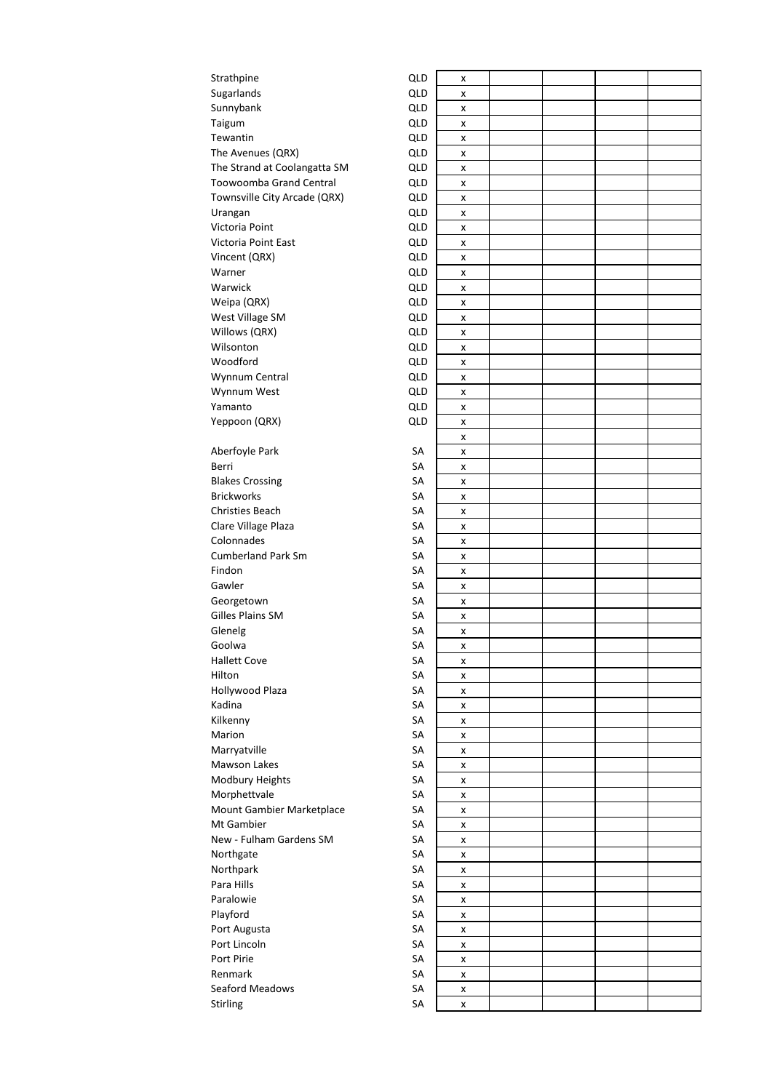| Sugarlands<br>QLD<br>x<br>Sunnybank<br>QLD<br>X<br>Taigum<br>QLD<br>X<br>Tewantin<br>QLD<br>x<br>The Avenues (QRX)<br>QLD<br>x<br>The Strand at Coolangatta SM<br>QLD<br>x<br>Toowoomba Grand Central<br>QLD<br>x<br>Townsville City Arcade (QRX)<br>QLD<br>x<br>QLD<br>Urangan<br>x<br>Victoria Point<br>QLD<br>x<br>Victoria Point East<br>QLD<br>x<br>QLD<br>Vincent (QRX)<br>x<br>Warner<br>QLD<br>x<br>Warwick<br>QLD<br>x<br>Weipa (QRX)<br>QLD<br>x<br>West Village SM<br>QLD<br>x<br>Willows (QRX)<br>QLD<br>x<br>Wilsonton<br>QLD<br>x<br>Woodford<br>QLD<br>x<br>Wynnum Central<br>QLD<br>x<br>QLD<br>Wynnum West<br>x<br>Yamanto<br>QLD<br>X<br>Yeppoon (QRX)<br>QLD<br>x<br>x<br>Aberfoyle Park<br>SA<br>x<br>SA<br>Berri<br>x<br><b>Blakes Crossing</b><br>SA<br>x<br><b>Brickworks</b><br>SA<br>x<br>Christies Beach<br>SA<br>x<br>Clare Village Plaza<br>SA<br>x<br>Colonnades<br>SA<br>X<br><b>Cumberland Park Sm</b><br>SA<br>x<br>Findon<br>SA<br>x<br>Gawler<br>SA<br>x<br>SA<br>Georgetown<br>x<br>Gilles Plains SM<br>SA<br>x<br>Glenelg<br>SA<br>x<br>Goolwa<br>SA<br>x<br><b>Hallett Cove</b><br>SA<br>x<br>Hilton<br>SA<br>x<br>Hollywood Plaza<br>SA<br>x<br>Kadina<br>SA<br>x<br>Kilkenny<br>SA<br>x<br>Marion<br>SA<br>X<br>Marryatville<br>SA<br>x<br>Mawson Lakes<br>SA<br>X<br>Modbury Heights<br>SА<br>X<br>Morphettvale<br>SA<br>x<br>Mount Gambier Marketplace<br>SA<br>x<br>Mt Gambier<br>SA<br>x<br>New - Fulham Gardens SM<br>SA<br>x<br>Northgate<br>SA<br>x<br>Northpark<br>SA<br>X<br>Para Hills<br>SA<br>x<br>Paralowie<br>SA<br>x<br>Playford<br>SA<br>X<br>Port Augusta<br>SA<br>x<br>Port Lincoln<br>SA<br>x<br>Port Pirie<br>SA<br>X<br>Renmark<br>SA<br>x<br>Seaford Meadows<br>SA<br>x<br>Stirling<br>SA<br>x | Strathpine | QLD | x |  |  |  |
|-------------------------------------------------------------------------------------------------------------------------------------------------------------------------------------------------------------------------------------------------------------------------------------------------------------------------------------------------------------------------------------------------------------------------------------------------------------------------------------------------------------------------------------------------------------------------------------------------------------------------------------------------------------------------------------------------------------------------------------------------------------------------------------------------------------------------------------------------------------------------------------------------------------------------------------------------------------------------------------------------------------------------------------------------------------------------------------------------------------------------------------------------------------------------------------------------------------------------------------------------------------------------------------------------------------------------------------------------------------------------------------------------------------------------------------------------------------------------------------------------------------------------------------------------------------------------------------------------------------------------------------------------------------------------------------------------------------------------------------------------------------|------------|-----|---|--|--|--|
|                                                                                                                                                                                                                                                                                                                                                                                                                                                                                                                                                                                                                                                                                                                                                                                                                                                                                                                                                                                                                                                                                                                                                                                                                                                                                                                                                                                                                                                                                                                                                                                                                                                                                                                                                             |            |     |   |  |  |  |
|                                                                                                                                                                                                                                                                                                                                                                                                                                                                                                                                                                                                                                                                                                                                                                                                                                                                                                                                                                                                                                                                                                                                                                                                                                                                                                                                                                                                                                                                                                                                                                                                                                                                                                                                                             |            |     |   |  |  |  |
|                                                                                                                                                                                                                                                                                                                                                                                                                                                                                                                                                                                                                                                                                                                                                                                                                                                                                                                                                                                                                                                                                                                                                                                                                                                                                                                                                                                                                                                                                                                                                                                                                                                                                                                                                             |            |     |   |  |  |  |
|                                                                                                                                                                                                                                                                                                                                                                                                                                                                                                                                                                                                                                                                                                                                                                                                                                                                                                                                                                                                                                                                                                                                                                                                                                                                                                                                                                                                                                                                                                                                                                                                                                                                                                                                                             |            |     |   |  |  |  |
|                                                                                                                                                                                                                                                                                                                                                                                                                                                                                                                                                                                                                                                                                                                                                                                                                                                                                                                                                                                                                                                                                                                                                                                                                                                                                                                                                                                                                                                                                                                                                                                                                                                                                                                                                             |            |     |   |  |  |  |
|                                                                                                                                                                                                                                                                                                                                                                                                                                                                                                                                                                                                                                                                                                                                                                                                                                                                                                                                                                                                                                                                                                                                                                                                                                                                                                                                                                                                                                                                                                                                                                                                                                                                                                                                                             |            |     |   |  |  |  |
|                                                                                                                                                                                                                                                                                                                                                                                                                                                                                                                                                                                                                                                                                                                                                                                                                                                                                                                                                                                                                                                                                                                                                                                                                                                                                                                                                                                                                                                                                                                                                                                                                                                                                                                                                             |            |     |   |  |  |  |
|                                                                                                                                                                                                                                                                                                                                                                                                                                                                                                                                                                                                                                                                                                                                                                                                                                                                                                                                                                                                                                                                                                                                                                                                                                                                                                                                                                                                                                                                                                                                                                                                                                                                                                                                                             |            |     |   |  |  |  |
|                                                                                                                                                                                                                                                                                                                                                                                                                                                                                                                                                                                                                                                                                                                                                                                                                                                                                                                                                                                                                                                                                                                                                                                                                                                                                                                                                                                                                                                                                                                                                                                                                                                                                                                                                             |            |     |   |  |  |  |
|                                                                                                                                                                                                                                                                                                                                                                                                                                                                                                                                                                                                                                                                                                                                                                                                                                                                                                                                                                                                                                                                                                                                                                                                                                                                                                                                                                                                                                                                                                                                                                                                                                                                                                                                                             |            |     |   |  |  |  |
|                                                                                                                                                                                                                                                                                                                                                                                                                                                                                                                                                                                                                                                                                                                                                                                                                                                                                                                                                                                                                                                                                                                                                                                                                                                                                                                                                                                                                                                                                                                                                                                                                                                                                                                                                             |            |     |   |  |  |  |
|                                                                                                                                                                                                                                                                                                                                                                                                                                                                                                                                                                                                                                                                                                                                                                                                                                                                                                                                                                                                                                                                                                                                                                                                                                                                                                                                                                                                                                                                                                                                                                                                                                                                                                                                                             |            |     |   |  |  |  |
|                                                                                                                                                                                                                                                                                                                                                                                                                                                                                                                                                                                                                                                                                                                                                                                                                                                                                                                                                                                                                                                                                                                                                                                                                                                                                                                                                                                                                                                                                                                                                                                                                                                                                                                                                             |            |     |   |  |  |  |
|                                                                                                                                                                                                                                                                                                                                                                                                                                                                                                                                                                                                                                                                                                                                                                                                                                                                                                                                                                                                                                                                                                                                                                                                                                                                                                                                                                                                                                                                                                                                                                                                                                                                                                                                                             |            |     |   |  |  |  |
|                                                                                                                                                                                                                                                                                                                                                                                                                                                                                                                                                                                                                                                                                                                                                                                                                                                                                                                                                                                                                                                                                                                                                                                                                                                                                                                                                                                                                                                                                                                                                                                                                                                                                                                                                             |            |     |   |  |  |  |
|                                                                                                                                                                                                                                                                                                                                                                                                                                                                                                                                                                                                                                                                                                                                                                                                                                                                                                                                                                                                                                                                                                                                                                                                                                                                                                                                                                                                                                                                                                                                                                                                                                                                                                                                                             |            |     |   |  |  |  |
|                                                                                                                                                                                                                                                                                                                                                                                                                                                                                                                                                                                                                                                                                                                                                                                                                                                                                                                                                                                                                                                                                                                                                                                                                                                                                                                                                                                                                                                                                                                                                                                                                                                                                                                                                             |            |     |   |  |  |  |
|                                                                                                                                                                                                                                                                                                                                                                                                                                                                                                                                                                                                                                                                                                                                                                                                                                                                                                                                                                                                                                                                                                                                                                                                                                                                                                                                                                                                                                                                                                                                                                                                                                                                                                                                                             |            |     |   |  |  |  |
|                                                                                                                                                                                                                                                                                                                                                                                                                                                                                                                                                                                                                                                                                                                                                                                                                                                                                                                                                                                                                                                                                                                                                                                                                                                                                                                                                                                                                                                                                                                                                                                                                                                                                                                                                             |            |     |   |  |  |  |
|                                                                                                                                                                                                                                                                                                                                                                                                                                                                                                                                                                                                                                                                                                                                                                                                                                                                                                                                                                                                                                                                                                                                                                                                                                                                                                                                                                                                                                                                                                                                                                                                                                                                                                                                                             |            |     |   |  |  |  |
|                                                                                                                                                                                                                                                                                                                                                                                                                                                                                                                                                                                                                                                                                                                                                                                                                                                                                                                                                                                                                                                                                                                                                                                                                                                                                                                                                                                                                                                                                                                                                                                                                                                                                                                                                             |            |     |   |  |  |  |
|                                                                                                                                                                                                                                                                                                                                                                                                                                                                                                                                                                                                                                                                                                                                                                                                                                                                                                                                                                                                                                                                                                                                                                                                                                                                                                                                                                                                                                                                                                                                                                                                                                                                                                                                                             |            |     |   |  |  |  |
|                                                                                                                                                                                                                                                                                                                                                                                                                                                                                                                                                                                                                                                                                                                                                                                                                                                                                                                                                                                                                                                                                                                                                                                                                                                                                                                                                                                                                                                                                                                                                                                                                                                                                                                                                             |            |     |   |  |  |  |
|                                                                                                                                                                                                                                                                                                                                                                                                                                                                                                                                                                                                                                                                                                                                                                                                                                                                                                                                                                                                                                                                                                                                                                                                                                                                                                                                                                                                                                                                                                                                                                                                                                                                                                                                                             |            |     |   |  |  |  |
|                                                                                                                                                                                                                                                                                                                                                                                                                                                                                                                                                                                                                                                                                                                                                                                                                                                                                                                                                                                                                                                                                                                                                                                                                                                                                                                                                                                                                                                                                                                                                                                                                                                                                                                                                             |            |     |   |  |  |  |
|                                                                                                                                                                                                                                                                                                                                                                                                                                                                                                                                                                                                                                                                                                                                                                                                                                                                                                                                                                                                                                                                                                                                                                                                                                                                                                                                                                                                                                                                                                                                                                                                                                                                                                                                                             |            |     |   |  |  |  |
|                                                                                                                                                                                                                                                                                                                                                                                                                                                                                                                                                                                                                                                                                                                                                                                                                                                                                                                                                                                                                                                                                                                                                                                                                                                                                                                                                                                                                                                                                                                                                                                                                                                                                                                                                             |            |     |   |  |  |  |
|                                                                                                                                                                                                                                                                                                                                                                                                                                                                                                                                                                                                                                                                                                                                                                                                                                                                                                                                                                                                                                                                                                                                                                                                                                                                                                                                                                                                                                                                                                                                                                                                                                                                                                                                                             |            |     |   |  |  |  |
|                                                                                                                                                                                                                                                                                                                                                                                                                                                                                                                                                                                                                                                                                                                                                                                                                                                                                                                                                                                                                                                                                                                                                                                                                                                                                                                                                                                                                                                                                                                                                                                                                                                                                                                                                             |            |     |   |  |  |  |
|                                                                                                                                                                                                                                                                                                                                                                                                                                                                                                                                                                                                                                                                                                                                                                                                                                                                                                                                                                                                                                                                                                                                                                                                                                                                                                                                                                                                                                                                                                                                                                                                                                                                                                                                                             |            |     |   |  |  |  |
|                                                                                                                                                                                                                                                                                                                                                                                                                                                                                                                                                                                                                                                                                                                                                                                                                                                                                                                                                                                                                                                                                                                                                                                                                                                                                                                                                                                                                                                                                                                                                                                                                                                                                                                                                             |            |     |   |  |  |  |
|                                                                                                                                                                                                                                                                                                                                                                                                                                                                                                                                                                                                                                                                                                                                                                                                                                                                                                                                                                                                                                                                                                                                                                                                                                                                                                                                                                                                                                                                                                                                                                                                                                                                                                                                                             |            |     |   |  |  |  |
|                                                                                                                                                                                                                                                                                                                                                                                                                                                                                                                                                                                                                                                                                                                                                                                                                                                                                                                                                                                                                                                                                                                                                                                                                                                                                                                                                                                                                                                                                                                                                                                                                                                                                                                                                             |            |     |   |  |  |  |
|                                                                                                                                                                                                                                                                                                                                                                                                                                                                                                                                                                                                                                                                                                                                                                                                                                                                                                                                                                                                                                                                                                                                                                                                                                                                                                                                                                                                                                                                                                                                                                                                                                                                                                                                                             |            |     |   |  |  |  |
|                                                                                                                                                                                                                                                                                                                                                                                                                                                                                                                                                                                                                                                                                                                                                                                                                                                                                                                                                                                                                                                                                                                                                                                                                                                                                                                                                                                                                                                                                                                                                                                                                                                                                                                                                             |            |     |   |  |  |  |
|                                                                                                                                                                                                                                                                                                                                                                                                                                                                                                                                                                                                                                                                                                                                                                                                                                                                                                                                                                                                                                                                                                                                                                                                                                                                                                                                                                                                                                                                                                                                                                                                                                                                                                                                                             |            |     |   |  |  |  |
|                                                                                                                                                                                                                                                                                                                                                                                                                                                                                                                                                                                                                                                                                                                                                                                                                                                                                                                                                                                                                                                                                                                                                                                                                                                                                                                                                                                                                                                                                                                                                                                                                                                                                                                                                             |            |     |   |  |  |  |
|                                                                                                                                                                                                                                                                                                                                                                                                                                                                                                                                                                                                                                                                                                                                                                                                                                                                                                                                                                                                                                                                                                                                                                                                                                                                                                                                                                                                                                                                                                                                                                                                                                                                                                                                                             |            |     |   |  |  |  |
|                                                                                                                                                                                                                                                                                                                                                                                                                                                                                                                                                                                                                                                                                                                                                                                                                                                                                                                                                                                                                                                                                                                                                                                                                                                                                                                                                                                                                                                                                                                                                                                                                                                                                                                                                             |            |     |   |  |  |  |
|                                                                                                                                                                                                                                                                                                                                                                                                                                                                                                                                                                                                                                                                                                                                                                                                                                                                                                                                                                                                                                                                                                                                                                                                                                                                                                                                                                                                                                                                                                                                                                                                                                                                                                                                                             |            |     |   |  |  |  |
|                                                                                                                                                                                                                                                                                                                                                                                                                                                                                                                                                                                                                                                                                                                                                                                                                                                                                                                                                                                                                                                                                                                                                                                                                                                                                                                                                                                                                                                                                                                                                                                                                                                                                                                                                             |            |     |   |  |  |  |
|                                                                                                                                                                                                                                                                                                                                                                                                                                                                                                                                                                                                                                                                                                                                                                                                                                                                                                                                                                                                                                                                                                                                                                                                                                                                                                                                                                                                                                                                                                                                                                                                                                                                                                                                                             |            |     |   |  |  |  |
|                                                                                                                                                                                                                                                                                                                                                                                                                                                                                                                                                                                                                                                                                                                                                                                                                                                                                                                                                                                                                                                                                                                                                                                                                                                                                                                                                                                                                                                                                                                                                                                                                                                                                                                                                             |            |     |   |  |  |  |
|                                                                                                                                                                                                                                                                                                                                                                                                                                                                                                                                                                                                                                                                                                                                                                                                                                                                                                                                                                                                                                                                                                                                                                                                                                                                                                                                                                                                                                                                                                                                                                                                                                                                                                                                                             |            |     |   |  |  |  |
|                                                                                                                                                                                                                                                                                                                                                                                                                                                                                                                                                                                                                                                                                                                                                                                                                                                                                                                                                                                                                                                                                                                                                                                                                                                                                                                                                                                                                                                                                                                                                                                                                                                                                                                                                             |            |     |   |  |  |  |
|                                                                                                                                                                                                                                                                                                                                                                                                                                                                                                                                                                                                                                                                                                                                                                                                                                                                                                                                                                                                                                                                                                                                                                                                                                                                                                                                                                                                                                                                                                                                                                                                                                                                                                                                                             |            |     |   |  |  |  |
|                                                                                                                                                                                                                                                                                                                                                                                                                                                                                                                                                                                                                                                                                                                                                                                                                                                                                                                                                                                                                                                                                                                                                                                                                                                                                                                                                                                                                                                                                                                                                                                                                                                                                                                                                             |            |     |   |  |  |  |
|                                                                                                                                                                                                                                                                                                                                                                                                                                                                                                                                                                                                                                                                                                                                                                                                                                                                                                                                                                                                                                                                                                                                                                                                                                                                                                                                                                                                                                                                                                                                                                                                                                                                                                                                                             |            |     |   |  |  |  |
|                                                                                                                                                                                                                                                                                                                                                                                                                                                                                                                                                                                                                                                                                                                                                                                                                                                                                                                                                                                                                                                                                                                                                                                                                                                                                                                                                                                                                                                                                                                                                                                                                                                                                                                                                             |            |     |   |  |  |  |
|                                                                                                                                                                                                                                                                                                                                                                                                                                                                                                                                                                                                                                                                                                                                                                                                                                                                                                                                                                                                                                                                                                                                                                                                                                                                                                                                                                                                                                                                                                                                                                                                                                                                                                                                                             |            |     |   |  |  |  |
|                                                                                                                                                                                                                                                                                                                                                                                                                                                                                                                                                                                                                                                                                                                                                                                                                                                                                                                                                                                                                                                                                                                                                                                                                                                                                                                                                                                                                                                                                                                                                                                                                                                                                                                                                             |            |     |   |  |  |  |
|                                                                                                                                                                                                                                                                                                                                                                                                                                                                                                                                                                                                                                                                                                                                                                                                                                                                                                                                                                                                                                                                                                                                                                                                                                                                                                                                                                                                                                                                                                                                                                                                                                                                                                                                                             |            |     |   |  |  |  |
|                                                                                                                                                                                                                                                                                                                                                                                                                                                                                                                                                                                                                                                                                                                                                                                                                                                                                                                                                                                                                                                                                                                                                                                                                                                                                                                                                                                                                                                                                                                                                                                                                                                                                                                                                             |            |     |   |  |  |  |
|                                                                                                                                                                                                                                                                                                                                                                                                                                                                                                                                                                                                                                                                                                                                                                                                                                                                                                                                                                                                                                                                                                                                                                                                                                                                                                                                                                                                                                                                                                                                                                                                                                                                                                                                                             |            |     |   |  |  |  |
|                                                                                                                                                                                                                                                                                                                                                                                                                                                                                                                                                                                                                                                                                                                                                                                                                                                                                                                                                                                                                                                                                                                                                                                                                                                                                                                                                                                                                                                                                                                                                                                                                                                                                                                                                             |            |     |   |  |  |  |
|                                                                                                                                                                                                                                                                                                                                                                                                                                                                                                                                                                                                                                                                                                                                                                                                                                                                                                                                                                                                                                                                                                                                                                                                                                                                                                                                                                                                                                                                                                                                                                                                                                                                                                                                                             |            |     |   |  |  |  |
|                                                                                                                                                                                                                                                                                                                                                                                                                                                                                                                                                                                                                                                                                                                                                                                                                                                                                                                                                                                                                                                                                                                                                                                                                                                                                                                                                                                                                                                                                                                                                                                                                                                                                                                                                             |            |     |   |  |  |  |
|                                                                                                                                                                                                                                                                                                                                                                                                                                                                                                                                                                                                                                                                                                                                                                                                                                                                                                                                                                                                                                                                                                                                                                                                                                                                                                                                                                                                                                                                                                                                                                                                                                                                                                                                                             |            |     |   |  |  |  |
|                                                                                                                                                                                                                                                                                                                                                                                                                                                                                                                                                                                                                                                                                                                                                                                                                                                                                                                                                                                                                                                                                                                                                                                                                                                                                                                                                                                                                                                                                                                                                                                                                                                                                                                                                             |            |     |   |  |  |  |
|                                                                                                                                                                                                                                                                                                                                                                                                                                                                                                                                                                                                                                                                                                                                                                                                                                                                                                                                                                                                                                                                                                                                                                                                                                                                                                                                                                                                                                                                                                                                                                                                                                                                                                                                                             |            |     |   |  |  |  |
|                                                                                                                                                                                                                                                                                                                                                                                                                                                                                                                                                                                                                                                                                                                                                                                                                                                                                                                                                                                                                                                                                                                                                                                                                                                                                                                                                                                                                                                                                                                                                                                                                                                                                                                                                             |            |     |   |  |  |  |
|                                                                                                                                                                                                                                                                                                                                                                                                                                                                                                                                                                                                                                                                                                                                                                                                                                                                                                                                                                                                                                                                                                                                                                                                                                                                                                                                                                                                                                                                                                                                                                                                                                                                                                                                                             |            |     |   |  |  |  |
|                                                                                                                                                                                                                                                                                                                                                                                                                                                                                                                                                                                                                                                                                                                                                                                                                                                                                                                                                                                                                                                                                                                                                                                                                                                                                                                                                                                                                                                                                                                                                                                                                                                                                                                                                             |            |     |   |  |  |  |
|                                                                                                                                                                                                                                                                                                                                                                                                                                                                                                                                                                                                                                                                                                                                                                                                                                                                                                                                                                                                                                                                                                                                                                                                                                                                                                                                                                                                                                                                                                                                                                                                                                                                                                                                                             |            |     |   |  |  |  |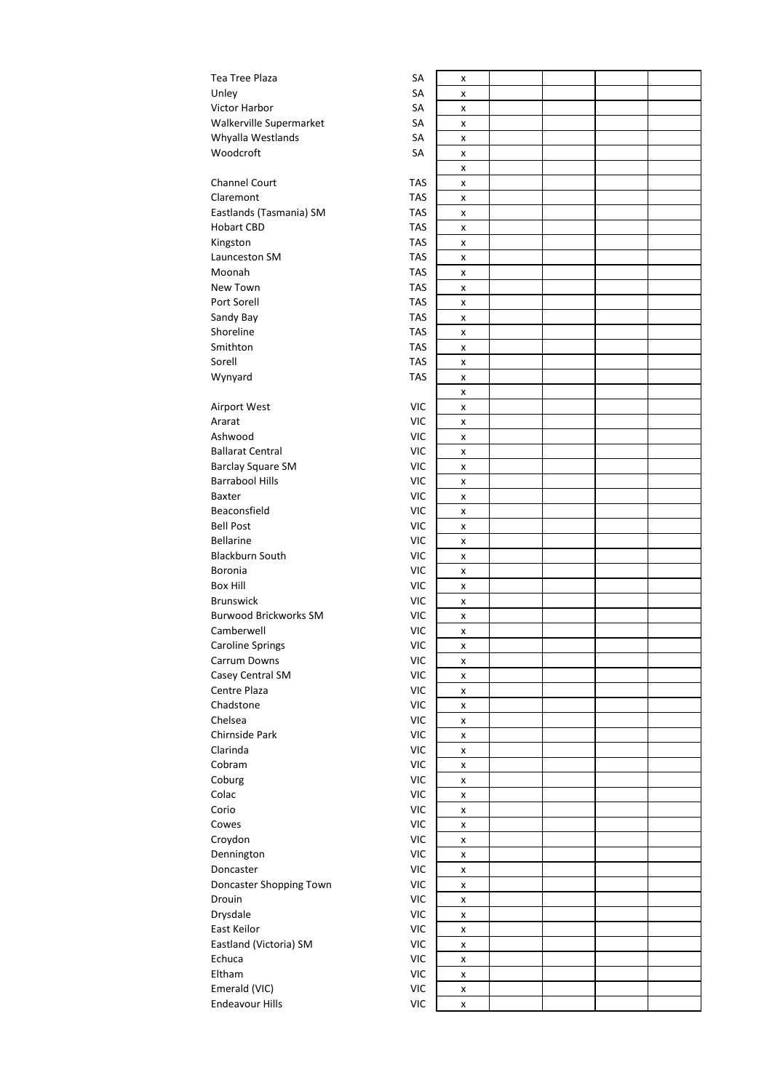| Tea Tree Plaza                   | SA         | x      |  |  |
|----------------------------------|------------|--------|--|--|
| Unley                            | SA         | x      |  |  |
| Victor Harbor                    | SA         | x      |  |  |
| Walkerville Supermarket          | SA         | x      |  |  |
| Whyalla Westlands                | SA         | x      |  |  |
| Woodcroft                        | SA         | x      |  |  |
|                                  |            | x      |  |  |
| <b>Channel Court</b>             | <b>TAS</b> | x      |  |  |
| Claremont                        | <b>TAS</b> | x      |  |  |
| Eastlands (Tasmania) SM          | <b>TAS</b> | x      |  |  |
| <b>Hobart CBD</b>                | <b>TAS</b> | x      |  |  |
| Kingston                         | <b>TAS</b> | x      |  |  |
| Launceston SM                    | <b>TAS</b> | x      |  |  |
| Moonah                           | <b>TAS</b> | x      |  |  |
| New Town                         | <b>TAS</b> | x      |  |  |
| Port Sorell                      | <b>TAS</b> | x      |  |  |
| Sandy Bay                        | <b>TAS</b> | X      |  |  |
| Shoreline                        | <b>TAS</b> |        |  |  |
| Smithton                         | <b>TAS</b> | x      |  |  |
| Sorell                           | <b>TAS</b> | x      |  |  |
|                                  |            | x      |  |  |
| Wynyard                          | <b>TAS</b> | x      |  |  |
|                                  |            | x      |  |  |
| Airport West                     | <b>VIC</b> | x      |  |  |
| Ararat                           | <b>VIC</b> | x      |  |  |
| Ashwood                          | <b>VIC</b> | x      |  |  |
| <b>Ballarat Central</b>          | <b>VIC</b> | x      |  |  |
| <b>Barclay Square SM</b>         | <b>VIC</b> | x      |  |  |
| <b>Barrabool Hills</b>           | <b>VIC</b> | X      |  |  |
| Baxter                           | <b>VIC</b> | x      |  |  |
| Beaconsfield                     | <b>VIC</b> | x      |  |  |
| <b>Bell Post</b>                 | <b>VIC</b> | x      |  |  |
| <b>Bellarine</b>                 | <b>VIC</b> | x      |  |  |
| <b>Blackburn South</b>           | <b>VIC</b> | x      |  |  |
| Boronia                          | <b>VIC</b> | x      |  |  |
| <b>Box Hill</b>                  | <b>VIC</b> | x      |  |  |
| <b>Brunswick</b>                 | <b>VIC</b> | x      |  |  |
| <b>Burwood Brickworks SM</b>     | <b>VIC</b> | x      |  |  |
| Camberwell                       | <b>VIC</b> | x      |  |  |
| <b>Caroline Springs</b>          | <b>VIC</b> | x      |  |  |
| Carrum Downs                     | <b>VIC</b> | x      |  |  |
| Casey Central SM                 | <b>VIC</b> | X      |  |  |
| Centre Plaza                     | VIC        | X      |  |  |
| Chadstone                        | VIC        | X      |  |  |
| Chelsea                          | <b>VIC</b> | X      |  |  |
| Chirnside Park                   | <b>VIC</b> | X      |  |  |
| Clarinda                         | <b>VIC</b> | X      |  |  |
| Cobram                           | <b>VIC</b> | X      |  |  |
| Coburg                           | <b>VIC</b> | X      |  |  |
| Colac                            | <b>VIC</b> | x      |  |  |
| Corio                            | <b>VIC</b> | x      |  |  |
| Cowes                            | VIC        | X      |  |  |
| Croydon                          | <b>VIC</b> | x      |  |  |
| Dennington                       | <b>VIC</b> | x      |  |  |
| Doncaster                        | <b>VIC</b> | X      |  |  |
| Doncaster Shopping Town          | <b>VIC</b> | X      |  |  |
| Drouin                           | VIC        | x      |  |  |
| Drysdale                         | VIC        |        |  |  |
| East Keilor                      | <b>VIC</b> | X<br>x |  |  |
|                                  | <b>VIC</b> |        |  |  |
| Eastland (Victoria) SM<br>Echuca | <b>VIC</b> | x      |  |  |
| Eltham                           |            | X      |  |  |
|                                  | <b>VIC</b> | X      |  |  |
| Emerald (VIC)                    | <b>VIC</b> | x      |  |  |
| <b>Endeavour Hills</b>           | VIC        | X      |  |  |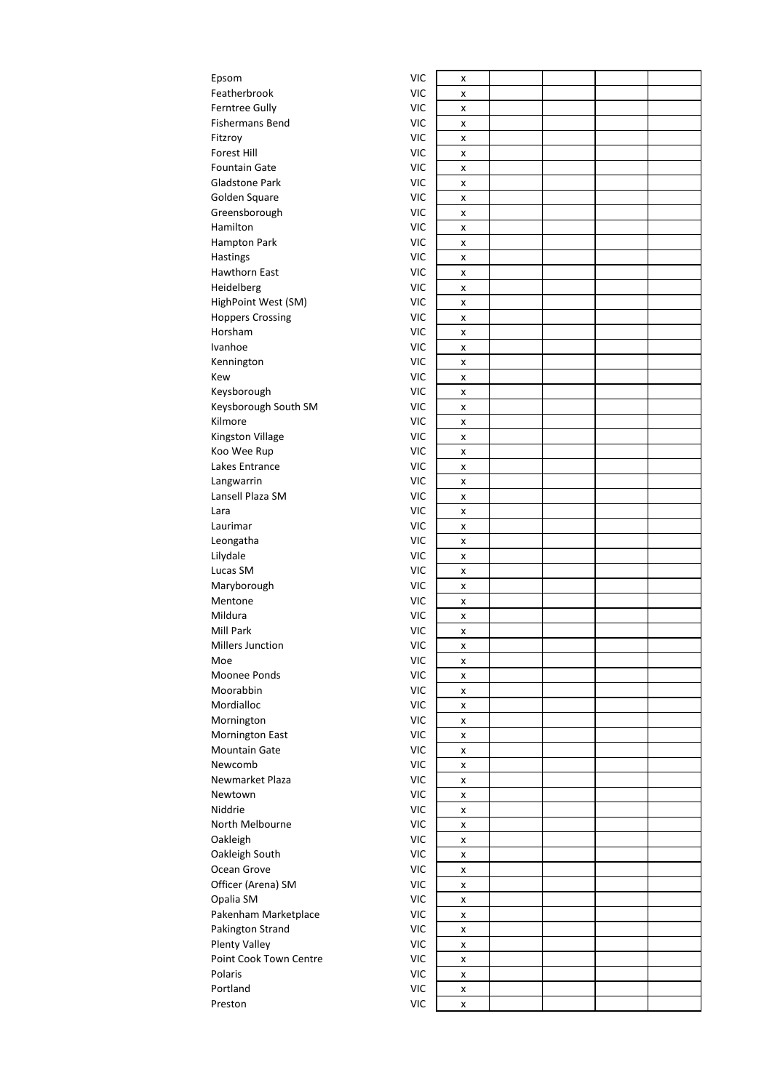| Epsom                   | <b>VIC</b> | X |  |  |
|-------------------------|------------|---|--|--|
| Featherbrook            | <b>VIC</b> | x |  |  |
| Ferntree Gully          | <b>VIC</b> | x |  |  |
| <b>Fishermans Bend</b>  | <b>VIC</b> |   |  |  |
|                         | <b>VIC</b> | x |  |  |
| Fitzroy                 |            | x |  |  |
| Forest Hill             | <b>VIC</b> | x |  |  |
| <b>Fountain Gate</b>    | <b>VIC</b> | x |  |  |
| <b>Gladstone Park</b>   | <b>VIC</b> | x |  |  |
| Golden Square           | <b>VIC</b> | x |  |  |
| Greensborough           | <b>VIC</b> | x |  |  |
| Hamilton                | <b>VIC</b> | x |  |  |
| Hampton Park            | <b>VIC</b> | x |  |  |
| Hastings                | <b>VIC</b> | x |  |  |
| <b>Hawthorn East</b>    | <b>VIC</b> | x |  |  |
| Heidelberg              | <b>VIC</b> | X |  |  |
| HighPoint West (SM)     | <b>VIC</b> | x |  |  |
| <b>Hoppers Crossing</b> | <b>VIC</b> | x |  |  |
| Horsham                 | <b>VIC</b> | x |  |  |
| Ivanhoe                 | <b>VIC</b> |   |  |  |
|                         |            | x |  |  |
| Kennington              | <b>VIC</b> | x |  |  |
| Kew                     | <b>VIC</b> | x |  |  |
| Keysborough             | <b>VIC</b> | x |  |  |
| Keysborough South SM    | <b>VIC</b> | x |  |  |
| Kilmore                 | <b>VIC</b> | x |  |  |
| Kingston Village        | <b>VIC</b> | x |  |  |
| Koo Wee Rup             | <b>VIC</b> | x |  |  |
| Lakes Entrance          | <b>VIC</b> | X |  |  |
| Langwarrin              | <b>VIC</b> | x |  |  |
| Lansell Plaza SM        | <b>VIC</b> | x |  |  |
| Lara                    | <b>VIC</b> | x |  |  |
| Laurimar                | <b>VIC</b> |   |  |  |
|                         | <b>VIC</b> | x |  |  |
| Leongatha               |            | X |  |  |
| Lilydale                | <b>VIC</b> | x |  |  |
| Lucas SM                | <b>VIC</b> | X |  |  |
| Maryborough             | <b>VIC</b> | x |  |  |
| Mentone                 | <b>VIC</b> | x |  |  |
| Mildura                 | <b>VIC</b> | X |  |  |
| Mill Park               | <b>VIC</b> | x |  |  |
| Millers Junction        | <b>VIC</b> | x |  |  |
| Moe                     | <b>VIC</b> | X |  |  |
| Moonee Ponds            | <b>VIC</b> | x |  |  |
| Moorabbin               | <b>VIC</b> | x |  |  |
| Mordialloc              | <b>VIC</b> | x |  |  |
| Mornington              | <b>VIC</b> | x |  |  |
| Mornington East         | <b>VIC</b> | x |  |  |
| <b>Mountain Gate</b>    | <b>VIC</b> |   |  |  |
| Newcomb                 |            | x |  |  |
|                         | <b>VIC</b> | x |  |  |
| Newmarket Plaza         | <b>VIC</b> | x |  |  |
| Newtown                 | <b>VIC</b> | x |  |  |
| Niddrie                 | <b>VIC</b> | x |  |  |
| North Melbourne         | <b>VIC</b> | x |  |  |
| Oakleigh                | <b>VIC</b> | X |  |  |
| Oakleigh South          | <b>VIC</b> | X |  |  |
| Ocean Grove             | <b>VIC</b> | x |  |  |
| Officer (Arena) SM      | <b>VIC</b> | x |  |  |
| Opalia SM               | <b>VIC</b> | x |  |  |
| Pakenham Marketplace    | <b>VIC</b> | x |  |  |
| Pakington Strand        | <b>VIC</b> |   |  |  |
|                         |            | x |  |  |
| <b>Plenty Valley</b>    | <b>VIC</b> | X |  |  |
| Point Cook Town Centre  | <b>VIC</b> | x |  |  |
| Polaris                 | <b>VIC</b> | x |  |  |
| Portland                | <b>VIC</b> | x |  |  |
| Preston                 | <b>VIC</b> | X |  |  |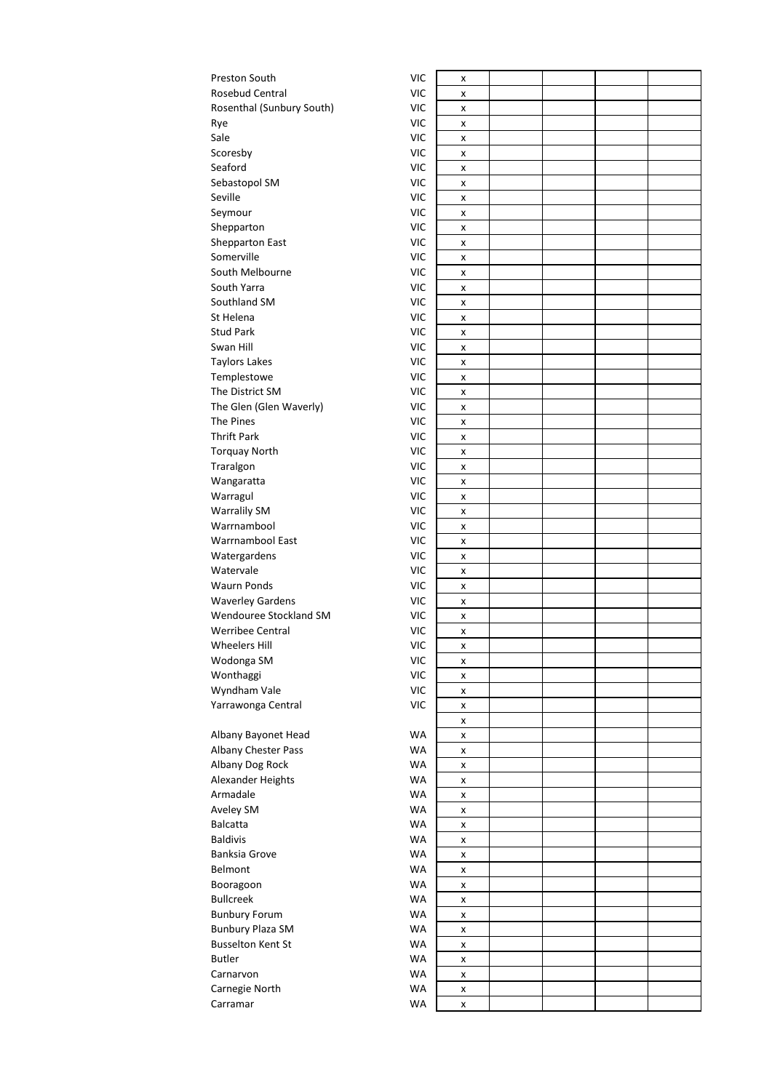| Preston South             | <b>VIC</b> | x |  |
|---------------------------|------------|---|--|
| Rosebud Central           | VIC        | x |  |
| Rosenthal (Sunbury South) | VIC        | x |  |
| Rye                       | VIC        | x |  |
| Sale                      | <b>VIC</b> | x |  |
| Scoresby                  | <b>VIC</b> | x |  |
| Seaford                   | VIC        | x |  |
| Sebastopol SM             | VIC        | x |  |
| Seville                   | <b>VIC</b> | x |  |
| Seymour                   | VIC        | x |  |
| Shepparton                | VIC        | x |  |
| Shepparton East           | <b>VIC</b> | x |  |
| Somerville                | <b>VIC</b> | x |  |
| South Melbourne           | <b>VIC</b> | x |  |
| South Yarra               | <b>VIC</b> | x |  |
| Southland SM              | VIC        | x |  |
| St Helena                 | <b>VIC</b> | x |  |
| <b>Stud Park</b>          | VIC        | x |  |
| Swan Hill                 | <b>VIC</b> | X |  |
| Taylors Lakes             | VIC        | x |  |
| Templestowe               | <b>VIC</b> | x |  |
| The District SM           | VIC        | x |  |
| The Glen (Glen Waverly)   | VIC        | x |  |
| The Pines                 | VIC        | X |  |
| Thrift Park               | <b>VIC</b> | x |  |
| Torquay North             | VIC        | X |  |
| Traralgon                 | <b>VIC</b> | x |  |
| Wangaratta                | VIC        | x |  |
| Warragul                  | VIC        | x |  |
| <b>Warralily SM</b>       | <b>VIC</b> | x |  |
| Warrnambool               | VIC        | x |  |
| Warrnambool East          | VIC        | X |  |
| Watergardens              | VIC        | x |  |
| Watervale                 | <b>VIC</b> | x |  |
| <b>Waurn Ponds</b>        | VIC        | x |  |
| <b>Waverley Gardens</b>   | VIC        | x |  |
| Wendouree Stockland SM    | <b>VIC</b> | x |  |
| Werribee Central          | VIC        | x |  |
| <b>Wheelers Hill</b>      | VIC        | x |  |
| Wodonga SM                | <b>VIC</b> | x |  |
| Wonthaggi                 | <b>VIC</b> | x |  |
| Wyndham Vale              | <b>VIC</b> | x |  |
| Yarrawonga Central        | VIC        | x |  |
|                           |            | x |  |
| Albany Bayonet Head       | WA         | x |  |
| Albany Chester Pass       | <b>WA</b>  | x |  |
| Albany Dog Rock           | <b>WA</b>  | x |  |
| Alexander Heights         | <b>WA</b>  | x |  |
| Armadale                  | <b>WA</b>  | X |  |
| Aveley SM                 | <b>WA</b>  | x |  |
| Balcatta                  | <b>WA</b>  | x |  |
| <b>Baldivis</b>           | <b>WA</b>  | x |  |
| Banksia Grove             | <b>WA</b>  | x |  |
| Belmont                   | <b>WA</b>  | x |  |
| Booragoon                 | <b>WA</b>  | x |  |
| <b>Bullcreek</b>          | <b>WA</b>  | x |  |
| <b>Bunbury Forum</b>      | WA         | x |  |
| <b>Bunbury Plaza SM</b>   | <b>WA</b>  | x |  |
| <b>Busselton Kent St</b>  | <b>WA</b>  | x |  |
| Butler                    | <b>WA</b>  | x |  |
| Carnarvon                 | <b>WA</b>  | x |  |
| Carnegie North            | <b>WA</b>  | x |  |
| Carramar                  | WA         | x |  |